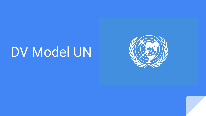## DV Model UN

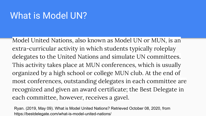## What is Model UN?

Model United Nations, also known as Model UN or MUN, is an extra-curricular activity in which students typically roleplay delegates to the United Nations and simulate UN committees. This activity takes place at MUN conferences, which is usually organized by a high school or college MUN club. At the end of most conferences, outstanding delegates in each committee are recognized and given an award certificate; the Best Delegate in each committee, however, receives a gavel.

Ryan. (2019, May 09). What is Model United Nations? Retrieved October 08, 2020, from https://bestdelegate.com/what-is-model-united-nations/